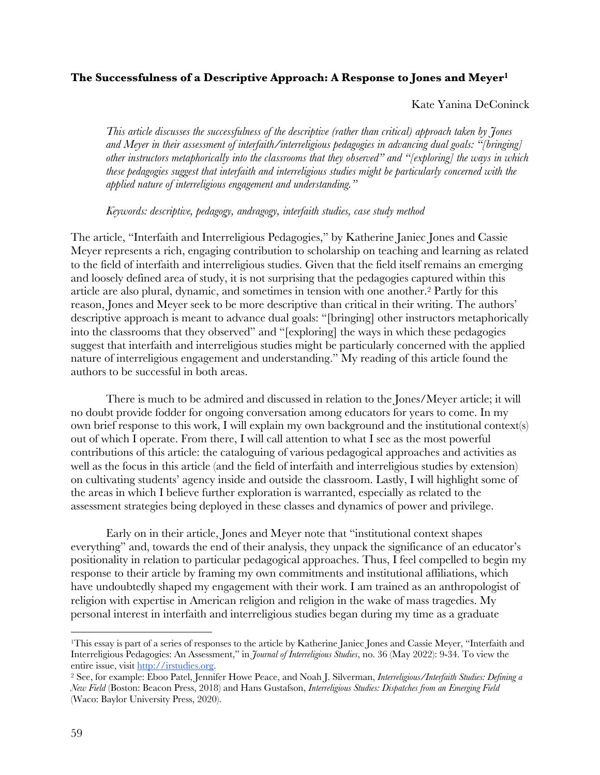## **The Successfulness of a Descriptive Approach: A Response to Jones and Meyer1**

## Kate Yanina DeConinck

*This article discusses the successfulness of the descriptive (rather than critical) approach taken by Jones and Meyer in their assessment of interfaith/interreligious pedagogies in advancing dual goals: "[bringing] other instructors metaphorically into the classrooms that they observed" and "[exploring] the ways in which these pedagogies suggest that interfaith and interreligious studies might be particularly concerned with the applied nature of interreligious engagement and understanding."*

## *Keywords: descriptive, pedagogy, andragogy, interfaith studies, case study method*

The article, "Interfaith and Interreligious Pedagogies," by Katherine Janiec Jones and Cassie Meyer represents a rich, engaging contribution to scholarship on teaching and learning as related to the field of interfaith and interreligious studies. Given that the field itself remains an emerging and loosely defined area of study, it is not surprising that the pedagogies captured within this article are also plural, dynamic, and sometimes in tension with one another.2 Partly for this reason, Jones and Meyer seek to be more descriptive than critical in their writing. The authors' descriptive approach is meant to advance dual goals: "[bringing] other instructors metaphorically into the classrooms that they observed" and "[exploring] the ways in which these pedagogies suggest that interfaith and interreligious studies might be particularly concerned with the applied nature of interreligious engagement and understanding." My reading of this article found the authors to be successful in both areas.

There is much to be admired and discussed in relation to the Jones/Meyer article; it will no doubt provide fodder for ongoing conversation among educators for years to come. In my own brief response to this work, I will explain my own background and the institutional context(s) out of which I operate. From there, I will call attention to what I see as the most powerful contributions of this article: the cataloguing of various pedagogical approaches and activities as well as the focus in this article (and the field of interfaith and interreligious studies by extension) on cultivating students' agency inside and outside the classroom. Lastly, I will highlight some of the areas in which I believe further exploration is warranted, especially as related to the assessment strategies being deployed in these classes and dynamics of power and privilege.

Early on in their article, Jones and Meyer note that "institutional context shapes everything" and, towards the end of their analysis, they unpack the significance of an educator's positionality in relation to particular pedagogical approaches. Thus, I feel compelled to begin my response to their article by framing my own commitments and institutional affiliations, which have undoubtedly shaped my engagement with their work. I am trained as an anthropologist of religion with expertise in American religion and religion in the wake of mass tragedies. My personal interest in interfaith and interreligious studies began during my time as a graduate

<sup>1</sup>This essay is part of a series of responses to the article by Katherine Janiec Jones and Cassie Meyer, "Interfaith and Interreligious Pedagogies: An Assessment," in *Journal of Interreligious Studies*, no. 36 (May 2022): 9-34. To view the entire issue, visit http://irstudies.org.

<sup>2</sup> See, for example: Eboo Patel, Jennifer Howe Peace, and Noah J. Silverman, *Interreligious/Interfaith Studies: Defining a New Field* (Boston: Beacon Press, 2018) and Hans Gustafson, *Interreligious Studies: Dispatches from an Emerging Field* (Waco: Baylor University Press, 2020).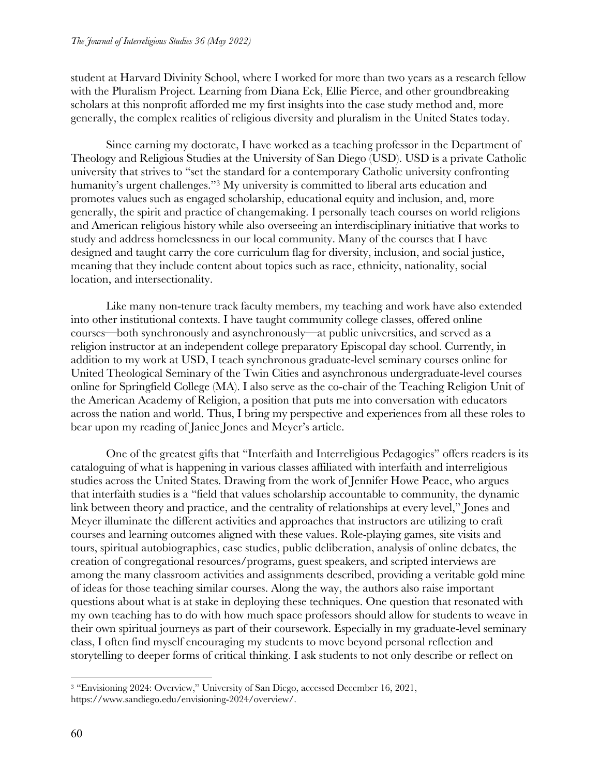student at Harvard Divinity School, where I worked for more than two years as a research fellow with the Pluralism Project. Learning from Diana Eck, Ellie Pierce, and other groundbreaking scholars at this nonprofit afforded me my first insights into the case study method and, more generally, the complex realities of religious diversity and pluralism in the United States today.

Since earning my doctorate, I have worked as a teaching professor in the Department of Theology and Religious Studies at the University of San Diego (USD). USD is a private Catholic university that strives to "set the standard for a contemporary Catholic university confronting humanity's urgent challenges."<sup>3</sup> My university is committed to liberal arts education and promotes values such as engaged scholarship, educational equity and inclusion, and, more generally, the spirit and practice of changemaking. I personally teach courses on world religions and American religious history while also overseeing an interdisciplinary initiative that works to study and address homelessness in our local community. Many of the courses that I have designed and taught carry the core curriculum flag for diversity, inclusion, and social justice, meaning that they include content about topics such as race, ethnicity, nationality, social location, and intersectionality.

Like many non-tenure track faculty members, my teaching and work have also extended into other institutional contexts. I have taught community college classes, offered online courses—both synchronously and asynchronously—at public universities, and served as a religion instructor at an independent college preparatory Episcopal day school. Currently, in addition to my work at USD, I teach synchronous graduate-level seminary courses online for United Theological Seminary of the Twin Cities and asynchronous undergraduate-level courses online for Springfield College (MA). I also serve as the co-chair of the Teaching Religion Unit of the American Academy of Religion, a position that puts me into conversation with educators across the nation and world. Thus, I bring my perspective and experiences from all these roles to bear upon my reading of Janiec Jones and Meyer's article.

One of the greatest gifts that "Interfaith and Interreligious Pedagogies" offers readers is its cataloguing of what is happening in various classes affiliated with interfaith and interreligious studies across the United States. Drawing from the work of Jennifer Howe Peace, who argues that interfaith studies is a "field that values scholarship accountable to community, the dynamic link between theory and practice, and the centrality of relationships at every level," Jones and Meyer illuminate the different activities and approaches that instructors are utilizing to craft courses and learning outcomes aligned with these values. Role-playing games, site visits and tours, spiritual autobiographies, case studies, public deliberation, analysis of online debates, the creation of congregational resources/programs, guest speakers, and scripted interviews are among the many classroom activities and assignments described, providing a veritable gold mine of ideas for those teaching similar courses. Along the way, the authors also raise important questions about what is at stake in deploying these techniques. One question that resonated with my own teaching has to do with how much space professors should allow for students to weave in their own spiritual journeys as part of their coursework. Especially in my graduate-level seminary class, I often find myself encouraging my students to move beyond personal reflection and storytelling to deeper forms of critical thinking. I ask students to not only describe or reflect on

<sup>3</sup> "Envisioning 2024: Overview," University of San Diego, accessed December 16, 2021, https://www.sandiego.edu/envisioning-2024/overview/.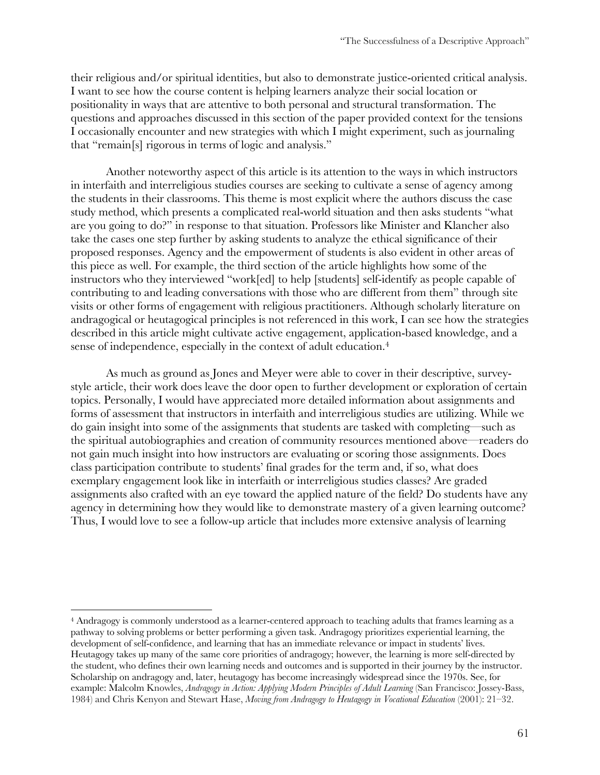their religious and/or spiritual identities, but also to demonstrate justice-oriented critical analysis. I want to see how the course content is helping learners analyze their social location or positionality in ways that are attentive to both personal and structural transformation. The questions and approaches discussed in this section of the paper provided context for the tensions I occasionally encounter and new strategies with which I might experiment, such as journaling that "remain[s] rigorous in terms of logic and analysis."

Another noteworthy aspect of this article is its attention to the ways in which instructors in interfaith and interreligious studies courses are seeking to cultivate a sense of agency among the students in their classrooms. This theme is most explicit where the authors discuss the case study method, which presents a complicated real-world situation and then asks students "what are you going to do?" in response to that situation. Professors like Minister and Klancher also take the cases one step further by asking students to analyze the ethical significance of their proposed responses. Agency and the empowerment of students is also evident in other areas of this piece as well. For example, the third section of the article highlights how some of the instructors who they interviewed "work[ed] to help [students] self-identify as people capable of contributing to and leading conversations with those who are different from them" through site visits or other forms of engagement with religious practitioners. Although scholarly literature on andragogical or heutagogical principles is not referenced in this work, I can see how the strategies described in this article might cultivate active engagement, application-based knowledge, and a sense of independence, especially in the context of adult education.<sup>4</sup>

As much as ground as Jones and Meyer were able to cover in their descriptive, surveystyle article, their work does leave the door open to further development or exploration of certain topics. Personally, I would have appreciated more detailed information about assignments and forms of assessment that instructors in interfaith and interreligious studies are utilizing. While we do gain insight into some of the assignments that students are tasked with completing—such as the spiritual autobiographies and creation of community resources mentioned above—readers do not gain much insight into how instructors are evaluating or scoring those assignments. Does class participation contribute to students' final grades for the term and, if so, what does exemplary engagement look like in interfaith or interreligious studies classes? Are graded assignments also crafted with an eye toward the applied nature of the field? Do students have any agency in determining how they would like to demonstrate mastery of a given learning outcome? Thus, I would love to see a follow-up article that includes more extensive analysis of learning

<sup>4</sup> Andragogy is commonly understood as a learner-centered approach to teaching adults that frames learning as a pathway to solving problems or better performing a given task. Andragogy prioritizes experiential learning, the development of self-confidence, and learning that has an immediate relevance or impact in students' lives. Heutagogy takes up many of the same core priorities of andragogy; however, the learning is more self-directed by the student, who defines their own learning needs and outcomes and is supported in their journey by the instructor. Scholarship on andragogy and, later, heutagogy has become increasingly widespread since the 1970s. See, for example: Malcolm Knowles, *Andragogy in Action: Applying Modern Principles of Adult Learning* (San Francisco: Jossey-Bass, 1984) and Chris Kenyon and Stewart Hase, *Moving from Andragogy to Heutagogy in Vocational Education* (2001): 21–32.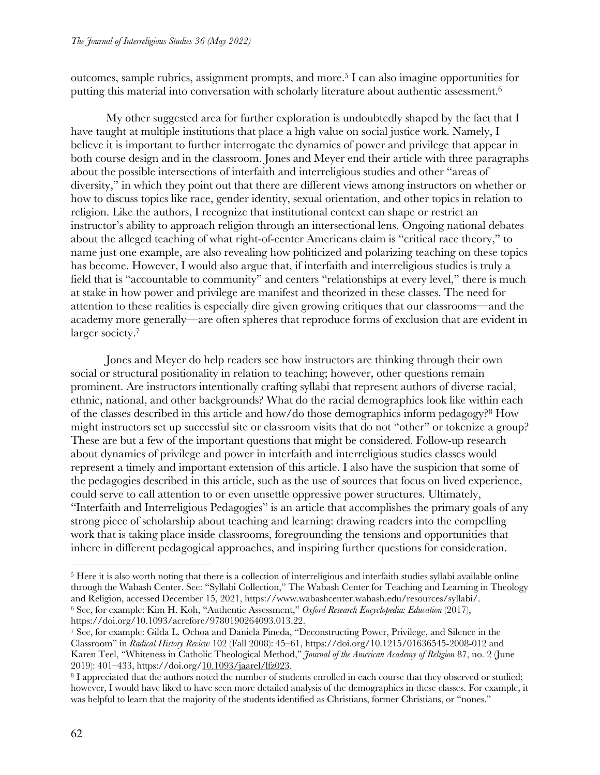outcomes, sample rubrics, assignment prompts, and more.5 I can also imagine opportunities for putting this material into conversation with scholarly literature about authentic assessment.6

My other suggested area for further exploration is undoubtedly shaped by the fact that I have taught at multiple institutions that place a high value on social justice work. Namely, I believe it is important to further interrogate the dynamics of power and privilege that appear in both course design and in the classroom. Jones and Meyer end their article with three paragraphs about the possible intersections of interfaith and interreligious studies and other "areas of diversity," in which they point out that there are different views among instructors on whether or how to discuss topics like race, gender identity, sexual orientation, and other topics in relation to religion. Like the authors, I recognize that institutional context can shape or restrict an instructor's ability to approach religion through an intersectional lens. Ongoing national debates about the alleged teaching of what right-of-center Americans claim is "critical race theory," to name just one example, are also revealing how politicized and polarizing teaching on these topics has become. However, I would also argue that, if interfaith and interreligious studies is truly a field that is "accountable to community" and centers "relationships at every level," there is much at stake in how power and privilege are manifest and theorized in these classes. The need for attention to these realities is especially dire given growing critiques that our classrooms—and the academy more generally—are often spheres that reproduce forms of exclusion that are evident in larger society.<sup>7</sup>

Jones and Meyer do help readers see how instructors are thinking through their own social or structural positionality in relation to teaching; however, other questions remain prominent. Are instructors intentionally crafting syllabi that represent authors of diverse racial, ethnic, national, and other backgrounds? What do the racial demographics look like within each of the classes described in this article and how/do those demographics inform pedagogy?8 How might instructors set up successful site or classroom visits that do not "other" or tokenize a group? These are but a few of the important questions that might be considered. Follow-up research about dynamics of privilege and power in interfaith and interreligious studies classes would represent a timely and important extension of this article. I also have the suspicion that some of the pedagogies described in this article, such as the use of sources that focus on lived experience, could serve to call attention to or even unsettle oppressive power structures. Ultimately, "Interfaith and Interreligious Pedagogies" is an article that accomplishes the primary goals of any strong piece of scholarship about teaching and learning: drawing readers into the compelling work that is taking place inside classrooms, foregrounding the tensions and opportunities that inhere in different pedagogical approaches, and inspiring further questions for consideration.

<sup>5</sup> Here it is also worth noting that there is a collection of interreligious and interfaith studies syllabi available online through the Wabash Center. See: "Syllabi Collection," The Wabash Center for Teaching and Learning in Theology and Religion, accessed December 15, 2021, https://www.wabashcenter.wabash.edu/resources/syllabi/. <sup>6</sup> See, for example: Kim H. Koh, "Authentic Assessment," *Oxford Research Encyclopedia: Education* (2017), https://doi.org/10.1093/acrefore/9780190264093.013.22.

<sup>7</sup> See, for example: Gilda L. Ochoa and Daniela Pineda, "Deconstructing Power, Privilege, and Silence in the Classroom" in *Radical History Review* 102 (Fall 2008): 45–61, https://doi.org/10.1215/01636545-2008-012 and Karen Teel, "Whiteness in Catholic Theological Method," *Journal of the American Academy of Religion* 87, no. 2 (June 2019): 401–433, https://doi.org/10.1093/jaarel/lfz023.

<sup>8</sup> I appreciated that the authors noted the number of students enrolled in each course that they observed or studied; however, I would have liked to have seen more detailed analysis of the demographics in these classes. For example, it was helpful to learn that the majority of the students identified as Christians, former Christians, or "nones."